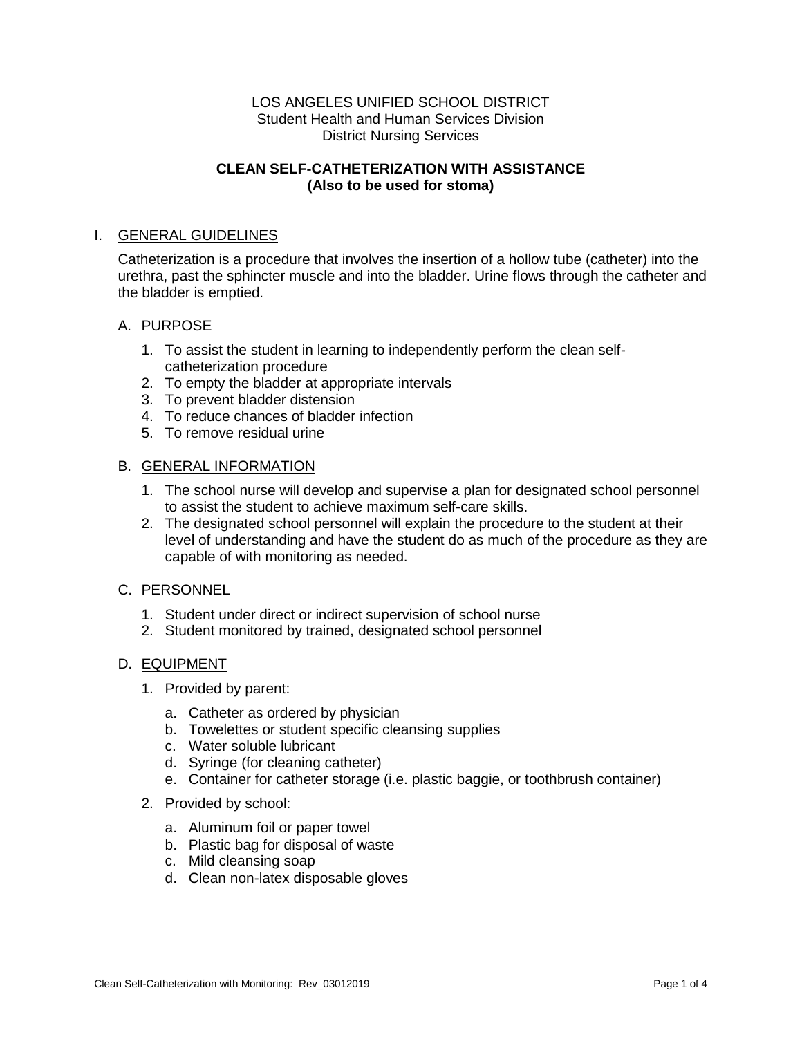#### LOS ANGELES UNIFIED SCHOOL DISTRICT Student Health and Human Services Division District Nursing Services

## **CLEAN SELF-CATHETERIZATION WITH ASSISTANCE (Also to be used for stoma)**

## I. GENERAL GUIDELINES

Catheterization is a procedure that involves the insertion of a hollow tube (catheter) into the urethra, past the sphincter muscle and into the bladder. Urine flows through the catheter and the bladder is emptied.

### A. PURPOSE

- 1. To assist the student in learning to independently perform the clean selfcatheterization procedure
- 2. To empty the bladder at appropriate intervals
- 3. To prevent bladder distension
- 4. To reduce chances of bladder infection
- 5. To remove residual urine

#### B. GENERAL INFORMATION

- 1. The school nurse will develop and supervise a plan for designated school personnel to assist the student to achieve maximum self-care skills.
- 2. The designated school personnel will explain the procedure to the student at their level of understanding and have the student do as much of the procedure as they are capable of with monitoring as needed.

#### C. PERSONNEL

- 1. Student under direct or indirect supervision of school nurse
- 2. Student monitored by trained, designated school personnel

#### D. EQUIPMENT

- 1. Provided by parent:
	- a. Catheter as ordered by physician
	- b. Towelettes or student specific cleansing supplies
	- c. Water soluble lubricant
	- d. Syringe (for cleaning catheter)
	- e. Container for catheter storage (i.e. plastic baggie, or toothbrush container)
- 2. Provided by school:
	- a. Aluminum foil or paper towel
	- b. Plastic bag for disposal of waste
	- c. Mild cleansing soap
	- d. Clean non-latex disposable gloves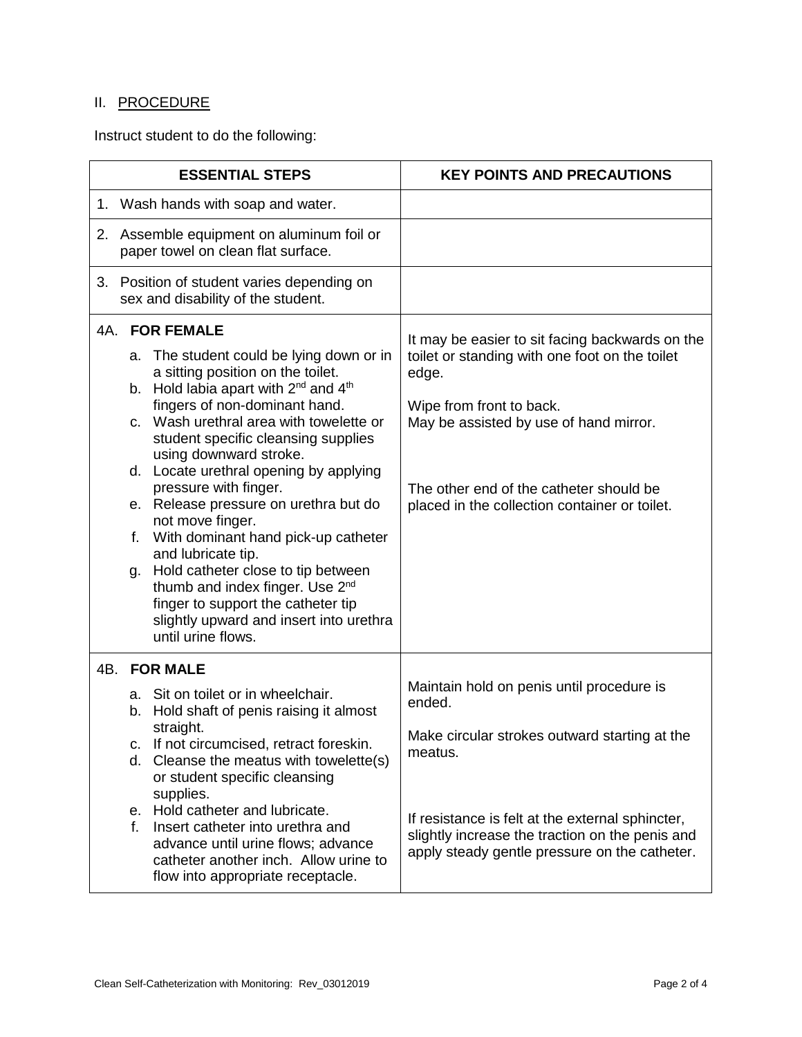# II. PROCEDURE

Instruct student to do the following:

| <b>ESSENTIAL STEPS</b>                                                           |                                                                                                                                                                                                                                                                                                                                                                                                                                                                                                                                                                                                                                                                                                           | <b>KEY POINTS AND PRECAUTIONS</b>                                                                                                                                                                                                                                            |
|----------------------------------------------------------------------------------|-----------------------------------------------------------------------------------------------------------------------------------------------------------------------------------------------------------------------------------------------------------------------------------------------------------------------------------------------------------------------------------------------------------------------------------------------------------------------------------------------------------------------------------------------------------------------------------------------------------------------------------------------------------------------------------------------------------|------------------------------------------------------------------------------------------------------------------------------------------------------------------------------------------------------------------------------------------------------------------------------|
| 1. Wash hands with soap and water.                                               |                                                                                                                                                                                                                                                                                                                                                                                                                                                                                                                                                                                                                                                                                                           |                                                                                                                                                                                                                                                                              |
| 2. Assemble equipment on aluminum foil or<br>paper towel on clean flat surface.  |                                                                                                                                                                                                                                                                                                                                                                                                                                                                                                                                                                                                                                                                                                           |                                                                                                                                                                                                                                                                              |
| 3. Position of student varies depending on<br>sex and disability of the student. |                                                                                                                                                                                                                                                                                                                                                                                                                                                                                                                                                                                                                                                                                                           |                                                                                                                                                                                                                                                                              |
| 4A.                                                                              | <b>FOR FEMALE</b><br>a. The student could be lying down or in<br>a sitting position on the toilet.<br>b. Hold labia apart with $2^{nd}$ and $4^{th}$<br>fingers of non-dominant hand.<br>Wash urethral area with towelette or<br>C.<br>student specific cleansing supplies<br>using downward stroke.<br>d. Locate urethral opening by applying<br>pressure with finger.<br>e. Release pressure on urethra but do<br>not move finger.<br>With dominant hand pick-up catheter<br>f.<br>and lubricate tip.<br>Hold catheter close to tip between<br>g.<br>thumb and index finger. Use 2 <sup>nd</sup><br>finger to support the catheter tip<br>slightly upward and insert into urethra<br>until urine flows. | It may be easier to sit facing backwards on the<br>toilet or standing with one foot on the toilet<br>edge.<br>Wipe from front to back.<br>May be assisted by use of hand mirror.<br>The other end of the catheter should be<br>placed in the collection container or toilet. |
| 4B.                                                                              | <b>FOR MALE</b><br>a. Sit on toilet or in wheelchair.<br>b. Hold shaft of penis raising it almost<br>straight.<br>c. If not circumcised, retract foreskin.<br>d. Cleanse the meatus with towelette(s)<br>or student specific cleansing<br>supplies.<br>e. Hold catheter and lubricate.<br>Insert catheter into urethra and<br>f.<br>advance until urine flows; advance<br>catheter another inch. Allow urine to<br>flow into appropriate receptacle.                                                                                                                                                                                                                                                      | Maintain hold on penis until procedure is<br>ended.<br>Make circular strokes outward starting at the<br>meatus.<br>If resistance is felt at the external sphincter,<br>slightly increase the traction on the penis and<br>apply steady gentle pressure on the catheter.      |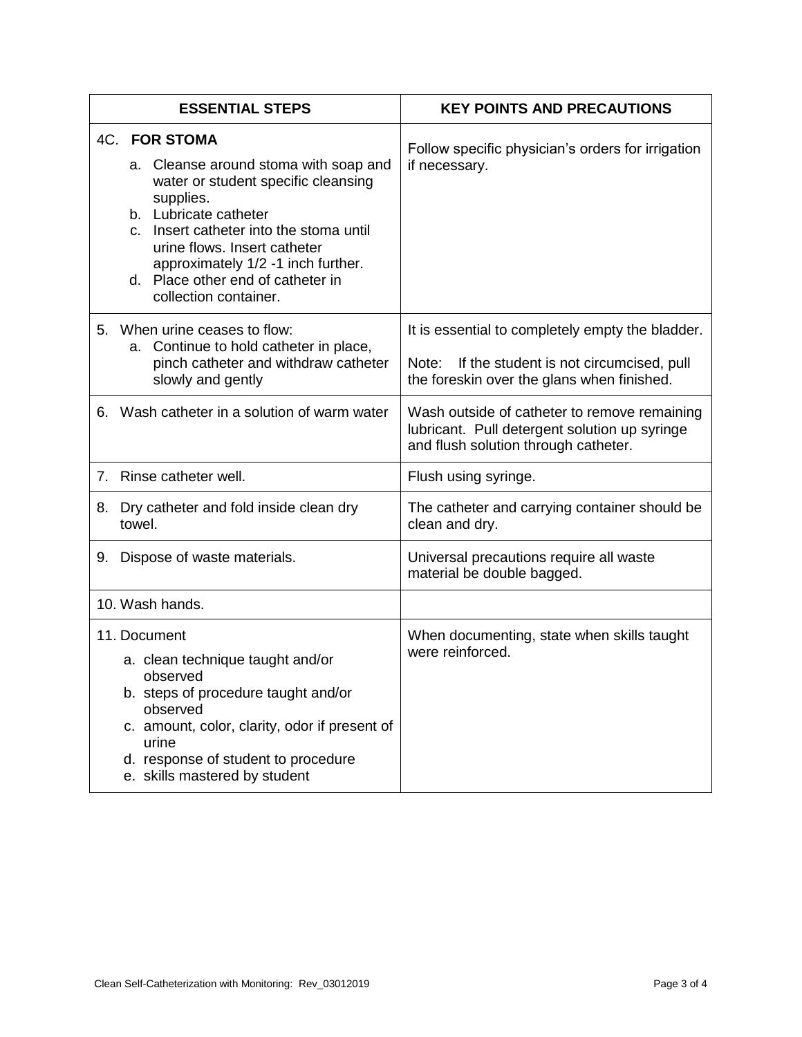| <b>ESSENTIAL STEPS</b>                                                                                                                                                                                                                                                                                                            | <b>KEY POINTS AND PRECAUTIONS</b>                                                                                                               |
|-----------------------------------------------------------------------------------------------------------------------------------------------------------------------------------------------------------------------------------------------------------------------------------------------------------------------------------|-------------------------------------------------------------------------------------------------------------------------------------------------|
| <b>4C. FOR STOMA</b><br>a. Cleanse around stoma with soap and<br>water or student specific cleansing<br>supplies.<br>b. Lubricate catheter<br>Insert catheter into the stoma until<br>$C_{n}$<br>urine flows. Insert catheter<br>approximately 1/2 -1 inch further.<br>d. Place other end of catheter in<br>collection container. | Follow specific physician's orders for irrigation<br>if necessary.                                                                              |
| 5. When urine ceases to flow:<br>a. Continue to hold catheter in place,<br>pinch catheter and withdraw catheter<br>slowly and gently                                                                                                                                                                                              | It is essential to completely empty the bladder.<br>Note: If the student is not circumcised, pull<br>the foreskin over the glans when finished. |
| 6. Wash catheter in a solution of warm water                                                                                                                                                                                                                                                                                      | Wash outside of catheter to remove remaining<br>lubricant. Pull detergent solution up syringe<br>and flush solution through catheter.           |
| 7. Rinse catheter well.                                                                                                                                                                                                                                                                                                           | Flush using syringe.                                                                                                                            |
| 8. Dry catheter and fold inside clean dry<br>towel.                                                                                                                                                                                                                                                                               | The catheter and carrying container should be<br>clean and dry.                                                                                 |
| 9. Dispose of waste materials.                                                                                                                                                                                                                                                                                                    | Universal precautions require all waste<br>material be double bagged.                                                                           |
| 10. Wash hands.                                                                                                                                                                                                                                                                                                                   |                                                                                                                                                 |
| 11. Document<br>a. clean technique taught and/or<br>observed<br>b. steps of procedure taught and/or<br>observed<br>c. amount, color, clarity, odor if present of<br>urine<br>d. response of student to procedure<br>e. skills mastered by student                                                                                 | When documenting, state when skills taught<br>were reinforced.                                                                                  |